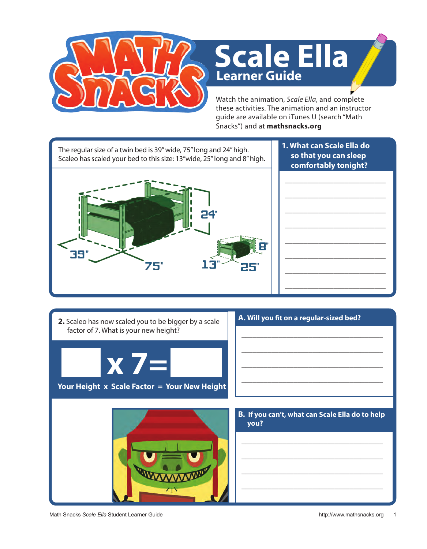

## **Learner Guide Scale Ella**

Watch the animation, *Scale Ella*, and complete these activities. The animation and an instructor guide are available on iTunes U (search "Math Snacks") and at **mathsnacks.org**

**1. What can Scale Ella do**  The regular size of a twin bed is 39" wide, 75" long and 24" high. **so that you can sleep**  Scaleo has scaled your bed to this size: 13"wide, 25" long and 8" high. **comfortably tonight?** \_\_\_\_\_\_\_\_\_\_\_\_\_\_\_\_\_\_\_\_\_\_\_\_\_\_\_ \_\_\_\_\_\_\_\_\_\_\_\_\_\_\_\_\_\_\_\_\_\_\_\_\_\_\_ \_\_\_\_\_\_\_\_\_\_\_\_\_\_\_\_\_\_\_\_\_\_\_\_\_\_\_ \_\_\_\_\_\_\_\_\_\_\_\_\_\_\_\_\_\_\_\_\_\_\_\_\_\_\_ \_\_\_\_\_\_\_\_\_\_\_\_\_\_\_\_\_\_\_\_\_\_\_\_\_\_\_ 39" \_\_\_\_\_\_\_\_\_\_\_\_\_\_\_\_\_\_\_\_\_\_\_\_\_\_\_ ٦ 75" 1 25" \_\_\_\_\_\_\_\_\_\_\_\_\_\_\_\_\_\_\_\_\_\_\_\_\_\_\_ \_\_\_\_\_\_\_\_\_\_\_\_\_\_\_\_\_\_\_\_\_\_\_\_\_\_\_

**2.** Scaleo has now scaled you to be bigger by a scale factor of 7. What is your new height?



## **Your Height x Scale Factor = Your New Height**

| A. Will you fit on a regular-sized bed? |  |
|-----------------------------------------|--|
|                                         |  |

\_\_\_\_\_\_\_\_\_\_\_\_\_\_\_\_\_\_\_\_\_\_\_\_\_\_\_\_\_\_\_\_\_\_\_\_\_\_

\_\_\_\_\_\_\_\_\_\_\_\_\_\_\_\_\_\_\_\_\_\_\_\_\_\_\_\_\_\_\_\_\_\_\_\_\_\_

\_\_\_\_\_\_\_\_\_\_\_\_\_\_\_\_\_\_\_\_\_\_\_\_\_\_\_\_\_\_\_\_\_\_\_\_\_\_



**B. If you can't, what can Scale Ella do to help you?** 

\_\_\_\_\_\_\_\_\_\_\_\_\_\_\_\_\_\_\_\_\_\_\_\_\_\_\_\_\_\_\_\_\_\_\_\_\_\_

\_\_\_\_\_\_\_\_\_\_\_\_\_\_\_\_\_\_\_\_\_\_\_\_\_\_\_\_\_\_\_\_\_\_\_\_\_\_

\_\_\_\_\_\_\_\_\_\_\_\_\_\_\_\_\_\_\_\_\_\_\_\_\_\_\_\_\_\_\_\_\_\_\_\_\_\_

\_\_\_\_\_\_\_\_\_\_\_\_\_\_\_\_\_\_\_\_\_\_\_\_\_\_\_\_\_\_\_\_\_\_\_\_\_\_

Math Snacks Scale Ella Student Learner Guide http://www.mathsnacks.org 1